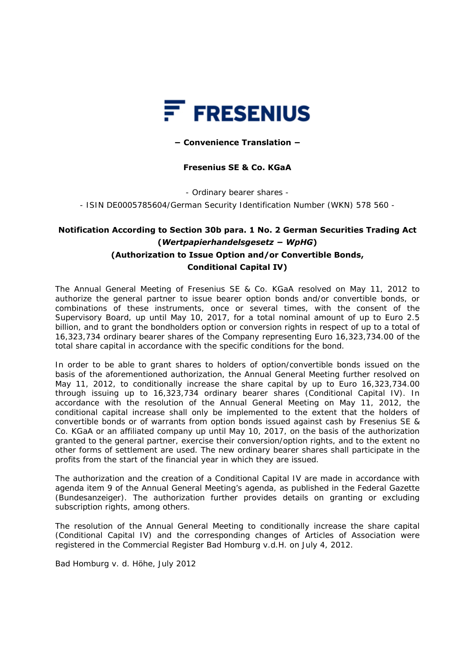

## **− Convenience Translation −**

## **Fresenius SE & Co. KGaA**

- Ordinary bearer shares -

- ISIN DE0005785604/German Security Identification Number (WKN) 578 560 -

## **Notification According to Section 30b para. 1 No. 2 German Securities Trading Act (***Wertpapierhandelsgesetz − WpHG***) (Authorization to Issue Option and/or Convertible Bonds, Conditional Capital IV)**

The Annual General Meeting of Fresenius SE & Co. KGaA resolved on May 11, 2012 to authorize the general partner to issue bearer option bonds and/or convertible bonds, or combinations of these instruments, once or several times, with the consent of the Supervisory Board, up until May 10, 2017, for a total nominal amount of up to Euro 2.5 billion, and to grant the bondholders option or conversion rights in respect of up to a total of 16,323,734 ordinary bearer shares of the Company representing Euro 16,323,734.00 of the total share capital in accordance with the specific conditions for the bond.

In order to be able to grant shares to holders of option/convertible bonds issued on the basis of the aforementioned authorization, the Annual General Meeting further resolved on May 11, 2012, to conditionally increase the share capital by up to Euro 16,323,734.00 through issuing up to 16,323,734 ordinary bearer shares (Conditional Capital IV). In accordance with the resolution of the Annual General Meeting on May 11, 2012, the conditional capital increase shall only be implemented to the extent that the holders of convertible bonds or of warrants from option bonds issued against cash by Fresenius SE & Co. KGaA or an affiliated company up until May 10, 2017, on the basis of the authorization granted to the general partner, exercise their conversion/option rights, and to the extent no other forms of settlement are used. The new ordinary bearer shares shall participate in the profits from the start of the financial year in which they are issued.

The authorization and the creation of a Conditional Capital IV are made in accordance with agenda item 9 of the Annual General Meeting's agenda, as published in the Federal Gazette (*Bundesanzeiger*). The authorization further provides details on granting or excluding subscription rights, among others.

The resolution of the Annual General Meeting to conditionally increase the share capital (Conditional Capital IV) and the corresponding changes of Articles of Association were registered in the Commercial Register Bad Homburg v.d.H. on July 4, 2012.

Bad Homburg v. d. Höhe, July 2012